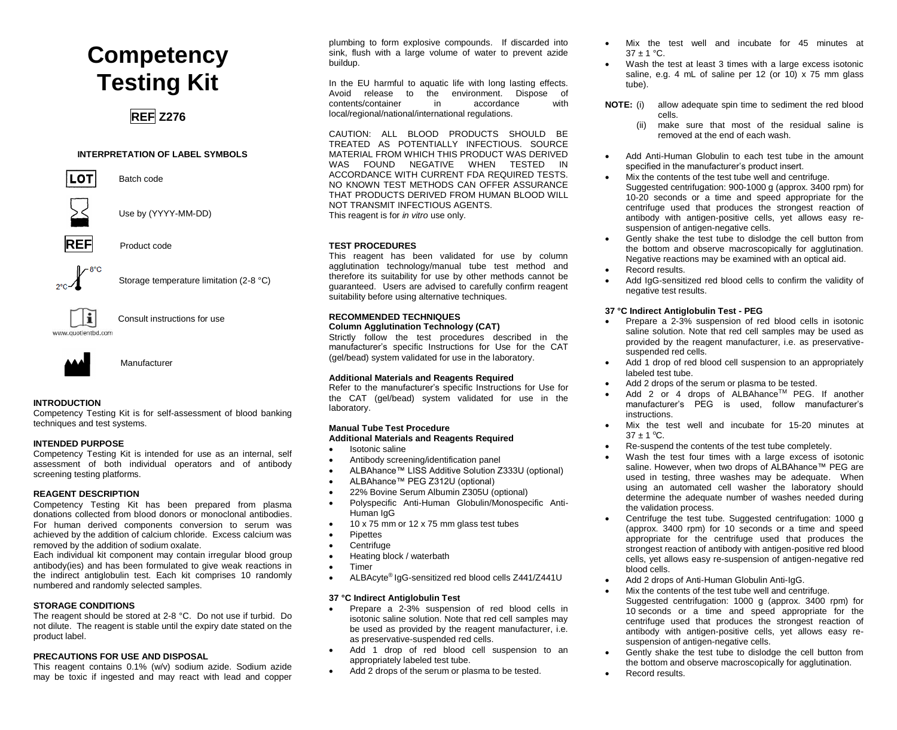# **Competency Testing Kit**

### **REF Z276**

#### **INTERPRETATION OF LABEL SYMBOLS**



Batch code



Use by (YYYY-MM-DD)



**Product code** 



Storage temperature limitation (2-8 °C)



Consult instructions for use



Manufacturer

#### **INTRODUCTION**

Competency Testing Kit is for self-assessment of blood banking techniques and test systems.

#### **INTENDED PURPOSE**

Competency Testing Kit is intended for use as an internal, self assessment of both individual operators and of antibody screening testing platforms.

#### **REAGENT DESCRIPTION**

Competency Testing Kit has been prepared from plasma donations collected from blood donors or monoclonal antibodies. For human derived components conversion to serum was achieved by the addition of calcium chloride. Excess calcium was removed by the addition of sodium oxalate.

Each individual kit component may contain irregular blood group antibody(ies) and has been formulated to give weak reactions in the indirect antiglobulin test. Each kit comprises 10 randomly numbered and randomly selected samples.

#### **STORAGE CONDITIONS**

The reagent should be stored at 2-8 °C. Do not use if turbid. Do not dilute. The reagent is stable until the expiry date stated on the product label.

#### **PRECAUTIONS FOR USE AND DISPOSAL**

This reagent contains 0.1% (w/v) sodium azide. Sodium azide may be toxic if ingested and may react with lead and copper

plumbing to form explosive compounds. If discarded into sink, flush with a large volume of water to prevent azide buildup.

In the EU harmful to aquatic life with long lasting effects. Avoid release to the environment. Dispose of contents/container in accordance with contents/container local/regional/national/international regulations.

CAUTION: ALL BLOOD PRODUCTS SHOULD BE TREATED AS POTENTIALLY INFECTIOUS. SOURCE MATERIAL FROM WHICH THIS PRODUCT WAS DERIVED WAS FOUND NEGATIVE WHEN TESTED IN ACCORDANCE WITH CURRENT FDA REQUIRED TESTS. NO KNOWN TEST METHODS CAN OFFER ASSURANCE THAT PRODUCTS DERIVED FROM HUMAN BLOOD WILL NOT TRANSMIT INFECTIOUS AGENTS. This reagent is for *in vitro* use only.

#### **TEST PROCEDURES**

This reagent has been validated for use by column agglutination technology/manual tube test method and therefore its suitability for use by other methods cannot be guaranteed. Users are advised to carefully confirm reagent suitability before using alternative techniques.

#### **RECOMMENDED TECHNIQUES Column Agglutination Technology (CAT)**

Strictly follow the test procedures described in the manufacturer's specific Instructions for Use for the CAT (gel/bead) system validated for use in the laboratory.

#### **Additional Materials and Reagents Required**

Refer to the manufacturer's specific Instructions for Use for the CAT (gel/bead) system validated for use in the laboratory.

### **Manual Tube Test Procedure**

#### **Additional Materials and Reagents Required**

- Isotonic saline
- Antibody screening/identification panel
- ALBAhance™ LISS Additive Solution Z333U (optional)
- ALBAhance™ PEG Z312U (optional)
- 22% Bovine Serum Albumin Z305U (optional)
- Polyspecific Anti-Human Globulin/Monospecific Anti-Human IgG
- 10 x 75 mm or 12 x 75 mm glass test tubes
- **Pipettes**
- Centrifuge
- Heating block / waterbath
- Timer
- ALBAcyte® IgG-sensitized red blood cells Z441/Z441U

#### **37 °C Indirect Antiglobulin Test**

- Prepare a 2-3% suspension of red blood cells in isotonic saline solution. Note that red cell samples may be used as provided by the reagent manufacturer, i.e. as preservative-suspended red cells.
- Add 1 drop of red blood cell suspension to an appropriately labeled test tube.
- Add 2 drops of the serum or plasma to be tested.
- Mix the test well and incubate for 45 minutes at  $37 \pm 1$  °C.
- Wash the test at least 3 times with a large excess isotonic saline, e.g. 4 mL of saline per 12 (or 10)  $\times$  75 mm glass tube).
- **NOTE:** (i) allow adequate spin time to sediment the red blood cells.
	- (ii) make sure that most of the residual saline is removed at the end of each wash.
- Add Anti-Human Globulin to each test tube in the amount specified in the manufacturer's product insert.
- Mix the contents of the test tube well and centrifuge. Suggested centrifugation: 900-1000 g (approx. 3400 rpm) for 10-20 seconds or a time and speed appropriate for the centrifuge used that produces the strongest reaction of antibody with antigen-positive cells, yet allows easy resuspension of antigen-negative cells.
- Gently shake the test tube to dislodge the cell button from the bottom and observe macroscopically for agglutination. Negative reactions may be examined with an optical aid.
- Record results.
- Add IgG-sensitized red blood cells to confirm the validity of negative test results.

#### **37 °C Indirect Antiglobulin Test - PEG**

- Prepare a 2-3% suspension of red blood cells in isotonic saline solution. Note that red cell samples may be used as provided by the reagent manufacturer, i.e. as preservativesuspended red cells.
- Add 1 drop of red blood cell suspension to an appropriately labeled test tube.
- Add 2 drops of the serum or plasma to be tested.
- Add 2 or 4 drops of ALBAhance™ PEG. If another manufacturer's PEG is used, follow manufacturer's **instructions**
- Mix the test well and incubate for 15-20 minutes at  $37 \pm 1$  °C.
- Re-suspend the contents of the test tube completely.
- Wash the test four times with a large excess of isotonic saline. However, when two drops of ALBAhance™ PEG are used in testing, three washes may be adequate. When using an automated cell washer the laboratory should determine the adequate number of washes needed during the validation process.
- Centrifuge the test tube. Suggested centrifugation: 1000 g (approx. 3400 rpm) for 10 seconds or a time and speed appropriate for the centrifuge used that produces the strongest reaction of antibody with antigen-positive red blood cells, yet allows easy re-suspension of antigen-negative red blood cells.
- Add 2 drops of Anti-Human Globulin Anti-IgG.
- Mix the contents of the test tube well and centrifuge. Suggested centrifugation: 1000 g (approx. 3400 rpm) for 10 seconds or a time and speed appropriate for the centrifuge used that produces the strongest reaction of antibody with antigen-positive cells, yet allows easy resuspension of antigen-negative cells.
- Gently shake the test tube to dislodge the cell button from the bottom and observe macroscopically for agglutination.
- Record results.